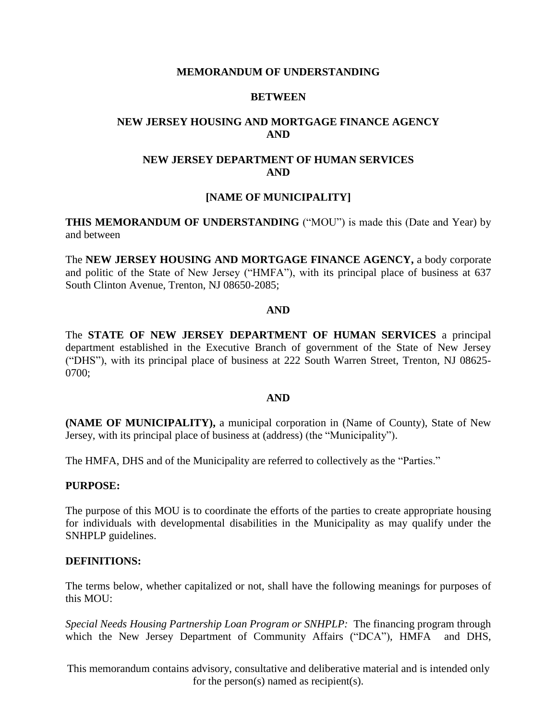# **MEMORANDUM OF UNDERSTANDING**

# **BETWEEN**

# **NEW JERSEY HOUSING AND MORTGAGE FINANCE AGENCY AND**

# **NEW JERSEY DEPARTMENT OF HUMAN SERVICES AND**

# **[NAME OF MUNICIPALITY]**

**THIS MEMORANDUM OF UNDERSTANDING** ("MOU") is made this (Date and Year) by and between

The **NEW JERSEY HOUSING AND MORTGAGE FINANCE AGENCY,** a body corporate and politic of the State of New Jersey ("HMFA"), with its principal place of business at 637 South Clinton Avenue, Trenton, NJ 08650-2085;

#### **AND**

The **STATE OF NEW JERSEY DEPARTMENT OF HUMAN SERVICES** a principal department established in the Executive Branch of government of the State of New Jersey ("DHS"), with its principal place of business at 222 South Warren Street, Trenton, NJ 08625- 0700;

#### **AND**

**(NAME OF MUNICIPALITY),** a municipal corporation in (Name of County), State of New Jersey, with its principal place of business at (address) (the "Municipality").

The HMFA, DHS and of the Municipality are referred to collectively as the "Parties."

#### **PURPOSE:**

The purpose of this MOU is to coordinate the efforts of the parties to create appropriate housing for individuals with developmental disabilities in the Municipality as may qualify under the SNHPLP guidelines.

### **DEFINITIONS:**

The terms below, whether capitalized or not, shall have the following meanings for purposes of this MOU:

*Special Needs Housing Partnership Loan Program or SNHPLP:* The financing program through which the New Jersey Department of Community Affairs ("DCA"), HMFA and DHS,

This memorandum contains advisory, consultative and deliberative material and is intended only for the person(s) named as recipient(s).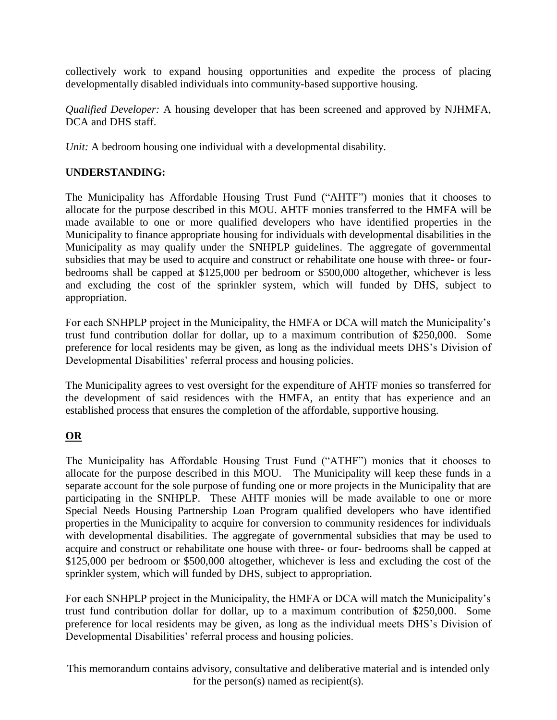collectively work to expand housing opportunities and expedite the process of placing developmentally disabled individuals into community-based supportive housing.

*Qualified Developer:* A housing developer that has been screened and approved by NJHMFA, DCA and DHS staff.

*Unit:* A bedroom housing one individual with a developmental disability.

# **UNDERSTANDING:**

The Municipality has Affordable Housing Trust Fund ("AHTF") monies that it chooses to allocate for the purpose described in this MOU. AHTF monies transferred to the HMFA will be made available to one or more qualified developers who have identified properties in the Municipality to finance appropriate housing for individuals with developmental disabilities in the Municipality as may qualify under the SNHPLP guidelines. The aggregate of governmental subsidies that may be used to acquire and construct or rehabilitate one house with three- or fourbedrooms shall be capped at \$125,000 per bedroom or \$500,000 altogether, whichever is less and excluding the cost of the sprinkler system, which will funded by DHS, subject to appropriation.

For each SNHPLP project in the Municipality, the HMFA or DCA will match the Municipality's trust fund contribution dollar for dollar, up to a maximum contribution of \$250,000. Some preference for local residents may be given, as long as the individual meets DHS's Division of Developmental Disabilities' referral process and housing policies.

The Municipality agrees to vest oversight for the expenditure of AHTF monies so transferred for the development of said residences with the HMFA, an entity that has experience and an established process that ensures the completion of the affordable, supportive housing.

# **OR**

The Municipality has Affordable Housing Trust Fund ("ATHF") monies that it chooses to allocate for the purpose described in this MOU. The Municipality will keep these funds in a separate account for the sole purpose of funding one or more projects in the Municipality that are participating in the SNHPLP. These AHTF monies will be made available to one or more Special Needs Housing Partnership Loan Program qualified developers who have identified properties in the Municipality to acquire for conversion to community residences for individuals with developmental disabilities. The aggregate of governmental subsidies that may be used to acquire and construct or rehabilitate one house with three- or four- bedrooms shall be capped at \$125,000 per bedroom or \$500,000 altogether, whichever is less and excluding the cost of the sprinkler system, which will funded by DHS, subject to appropriation.

For each SNHPLP project in the Municipality, the HMFA or DCA will match the Municipality's trust fund contribution dollar for dollar, up to a maximum contribution of \$250,000. Some preference for local residents may be given, as long as the individual meets DHS's Division of Developmental Disabilities' referral process and housing policies.

This memorandum contains advisory, consultative and deliberative material and is intended only for the person(s) named as recipient(s).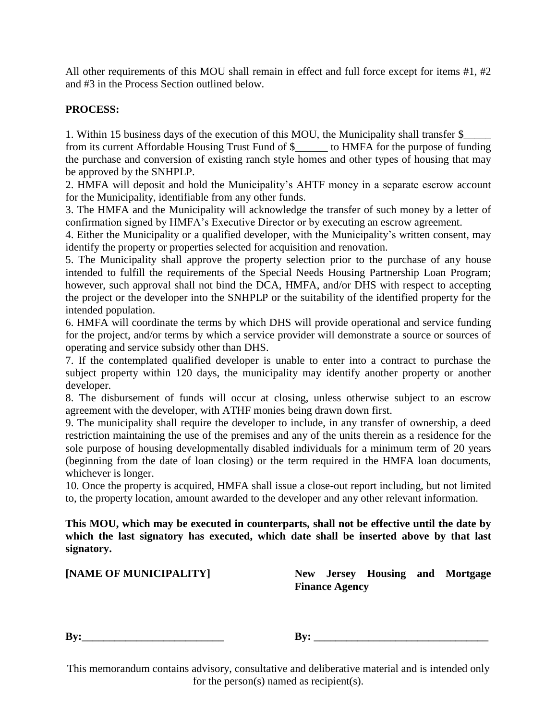All other requirements of this MOU shall remain in effect and full force except for items #1, #2 and #3 in the Process Section outlined below.

# **PROCESS:**

1. Within 15 business days of the execution of this MOU, the Municipality shall transfer \$\_\_\_\_\_ from its current Affordable Housing Trust Fund of \$\_\_\_\_\_\_ to HMFA for the purpose of funding the purchase and conversion of existing ranch style homes and other types of housing that may be approved by the SNHPLP.

2. HMFA will deposit and hold the Municipality's AHTF money in a separate escrow account for the Municipality, identifiable from any other funds.

3. The HMFA and the Municipality will acknowledge the transfer of such money by a letter of confirmation signed by HMFA's Executive Director or by executing an escrow agreement.

4. Either the Municipality or a qualified developer, with the Municipality's written consent, may identify the property or properties selected for acquisition and renovation.

5. The Municipality shall approve the property selection prior to the purchase of any house intended to fulfill the requirements of the Special Needs Housing Partnership Loan Program; however, such approval shall not bind the DCA, HMFA, and/or DHS with respect to accepting the project or the developer into the SNHPLP or the suitability of the identified property for the intended population.

6. HMFA will coordinate the terms by which DHS will provide operational and service funding for the project, and/or terms by which a service provider will demonstrate a source or sources of operating and service subsidy other than DHS.

7. If the contemplated qualified developer is unable to enter into a contract to purchase the subject property within 120 days, the municipality may identify another property or another developer.

8. The disbursement of funds will occur at closing, unless otherwise subject to an escrow agreement with the developer, with ATHF monies being drawn down first.

9. The municipality shall require the developer to include, in any transfer of ownership, a deed restriction maintaining the use of the premises and any of the units therein as a residence for the sole purpose of housing developmentally disabled individuals for a minimum term of 20 years (beginning from the date of loan closing) or the term required in the HMFA loan documents, whichever is longer.

10. Once the property is acquired, HMFA shall issue a close-out report including, but not limited to, the property location, amount awarded to the developer and any other relevant information.

**This MOU, which may be executed in counterparts, shall not be effective until the date by which the last signatory has executed, which date shall be inserted above by that last signatory.** 

**[NAME OF MUNICIPALITY] New Jersey Housing and Mortgage Finance Agency**

**By:\_\_\_\_\_\_\_\_\_\_\_\_\_\_\_\_\_\_\_\_\_\_\_\_\_\_ By: \_\_\_\_\_\_\_\_\_\_\_\_\_\_\_\_\_\_\_\_\_\_\_\_\_\_\_\_\_\_\_\_**

This memorandum contains advisory, consultative and deliberative material and is intended only for the person(s) named as recipient(s).